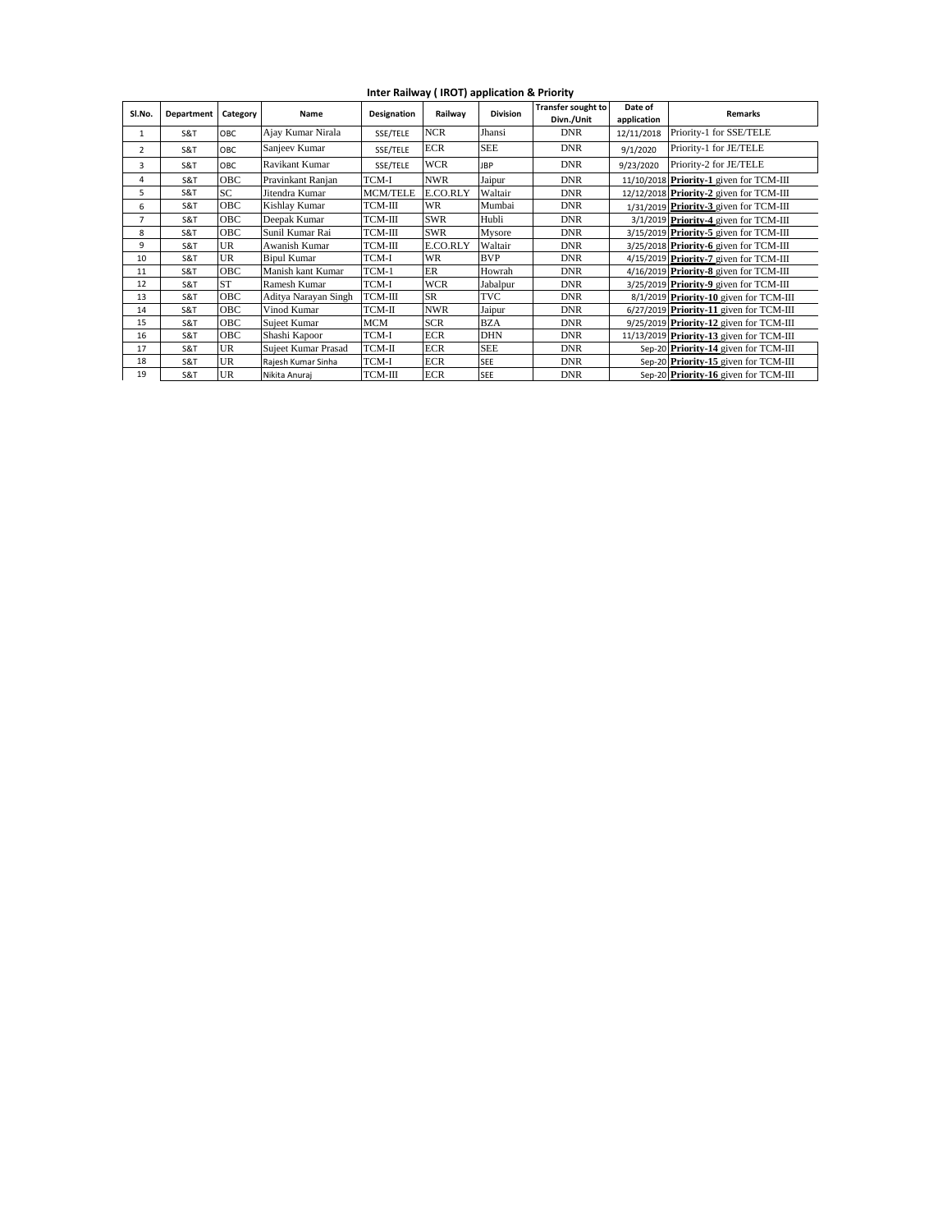**Inter Railway ( IROT) application & Priority**

| Sl.No.         | Department | Category   | Name                 | Designation     | Railwav    | <b>Division</b> | <b>Transfer sought to</b><br>Divn./Unit | Date of<br>application | <b>Remarks</b>                           |  |
|----------------|------------|------------|----------------------|-----------------|------------|-----------------|-----------------------------------------|------------------------|------------------------------------------|--|
| 1              | S&T        | OBC        | Ajay Kumar Nirala    | SSE/TELE        | <b>NCR</b> | Jhansi          | <b>DNR</b>                              | 12/11/2018             | Priority-1 for SSE/TELE                  |  |
| $\overline{2}$ | S&T        | OBC        | Sanjeev Kumar        | SSE/TELE        | ECR        | <b>SEE</b>      | <b>DNR</b>                              | 9/1/2020               | Priority-1 for JE/TELE                   |  |
| 3              | S&T        | OBC        | Ravikant Kumar       | SSE/TELE        | <b>WCR</b> | <b>IBP</b>      | <b>DNR</b>                              | 9/23/2020              | Priority-2 for JE/TELE                   |  |
| 4              | S&T        | OBC        | Pravinkant Ranjan    | TCM-I           | <b>NWR</b> | Jaipur          | <b>DNR</b>                              |                        | 11/10/2018 Priority-1 given for TCM-III  |  |
| 5              | S&T        | SC.        | Jitendra Kumar       | <b>MCM/TELE</b> | E.CO.RLY   | Waltair         | <b>DNR</b>                              |                        | 12/12/2018 Priority-2 given for TCM-III  |  |
| 6              | S&T        | <b>OBC</b> | Kishlay Kumar        | TCM-III         | WR         | Mumbai          | <b>DNR</b>                              |                        | $1/31/2019$ Priority 3 given for TCM-III |  |
| 7              | S&T        | <b>OBC</b> | Deepak Kumar         | TCM-III         | <b>SWR</b> | Hubli           | <b>DNR</b>                              |                        | 3/1/2019 Priority-4 given for TCM-III    |  |
| 8              | S&T        | <b>OBC</b> | Sunil Kumar Rai      | TCM-III         | <b>SWR</b> | Mysore          | <b>DNR</b>                              |                        | 3/15/2019 Priority 5 given for TCM-III   |  |
| 9              | S&T        | <b>UR</b>  | Awanish Kumar        | TCM-III         | E.CO.RLY   | Waltair         | <b>DNR</b>                              |                        | 3/25/2018 Priority-6 given for TCM-III   |  |
| 10             | S&T        | <b>UR</b>  | <b>Bipul Kumar</b>   | TCM-I           | <b>WR</b>  | <b>BVP</b>      | <b>DNR</b>                              |                        | 4/15/2019 Priority 7 given for TCM-III   |  |
| 11             | S&T        | <b>OBC</b> | Manish kant Kumar    | TCM-1           | <b>ER</b>  | Howrah          | <b>DNR</b>                              |                        | 4/16/2019 Priority-8 given for TCM-III   |  |
| 12             | S&T        | <b>ST</b>  | Ramesh Kumar         | TCM-I           | <b>WCR</b> | Jabalpur        | <b>DNR</b>                              |                        | 3/25/2019 Priority 9 given for TCM-III   |  |
| 13             | S&T        | OBC        | Aditya Narayan Singh | TCM-III         | <b>SR</b>  | <b>TVC</b>      | <b>DNR</b>                              |                        | 8/1/2019 Priority-10 given for TCM-III   |  |
| 14             | S&T        | <b>OBC</b> | Vinod Kumar          | TCM-II          | <b>NWR</b> | Jaipur          | <b>DNR</b>                              |                        | 6/27/2019 Priority 11 given for TCM-III  |  |
| 15             | S&T        | <b>OBC</b> | Sujeet Kumar         | MCM             | <b>SCR</b> | <b>BZA</b>      | <b>DNR</b>                              |                        | 9/25/2019 Priority-12 given for TCM-III  |  |
| 16             | S&T        | <b>OBC</b> | Shashi Kapoor        | TCM-I           | <b>ECR</b> | <b>DHN</b>      | <b>DNR</b>                              |                        | 11/13/2019 Priority 13 given for TCM-III |  |
| 17             | S&T        | <b>UR</b>  | Sujeet Kumar Prasad  | $TCM-II$        | <b>ECR</b> | <b>SEE</b>      | <b>DNR</b>                              |                        | Sep-20 Priority-14 given for TCM-III     |  |
| 18             | S&T        | <b>UR</b>  | Rajesh Kumar Sinha   | TCM-I           | <b>ECR</b> | <b>SEE</b>      | <b>DNR</b>                              |                        | Sep-20 Priority-15 given for TCM-III     |  |
| 19             | S&T        | <b>UR</b>  | Nikita Anuraj        | TCM-III         | <b>ECR</b> | <b>SEE</b>      | <b>DNR</b>                              |                        | Sep-20 Priority-16 given for TCM-III     |  |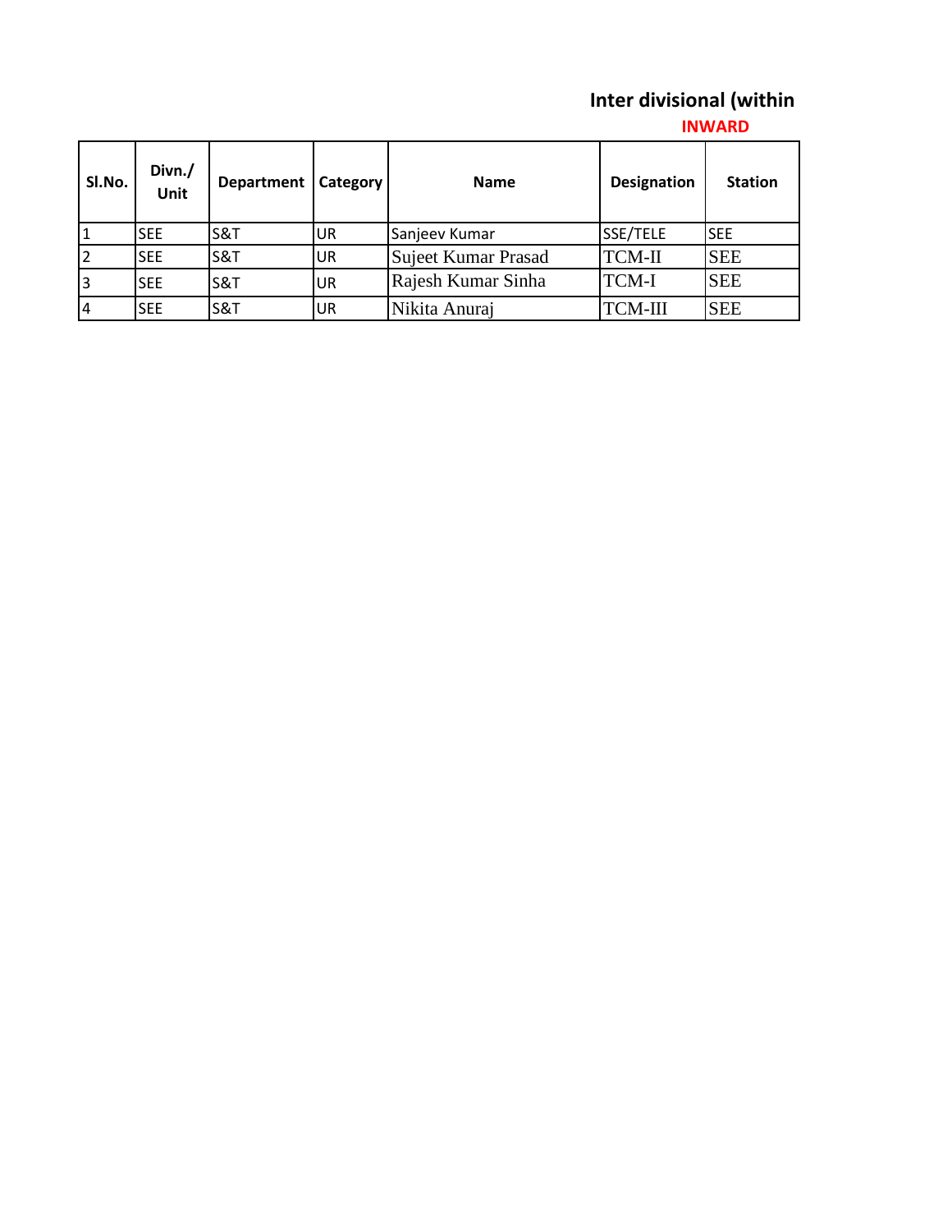## **Inter divisional (within**

## **INWARD**

| SI.No. | Divn./<br><b>Unit</b> | Department     | Category | Name                | <b>Designation</b> | <b>Station</b> |
|--------|-----------------------|----------------|----------|---------------------|--------------------|----------------|
|        | <b>SEE</b>            | S&T            | UR       | Sanjeev Kumar       | SSE/TELE           | <b>I</b> SEE   |
|        | <b>SEE</b>            | S&T            | UR       | Sujeet Kumar Prasad | TCM-II             | <b>SEE</b>     |
| 3      | <b>SEE</b>            | <b>S&amp;T</b> | UR       | Rajesh Kumar Sinha  | <b>TCM-I</b>       | <b>SEE</b>     |
| 14     | <b>SEE</b>            | <b>S&amp;T</b> | UR       | Nikita Anuraj       | TCM-III            | <b>SEE</b>     |